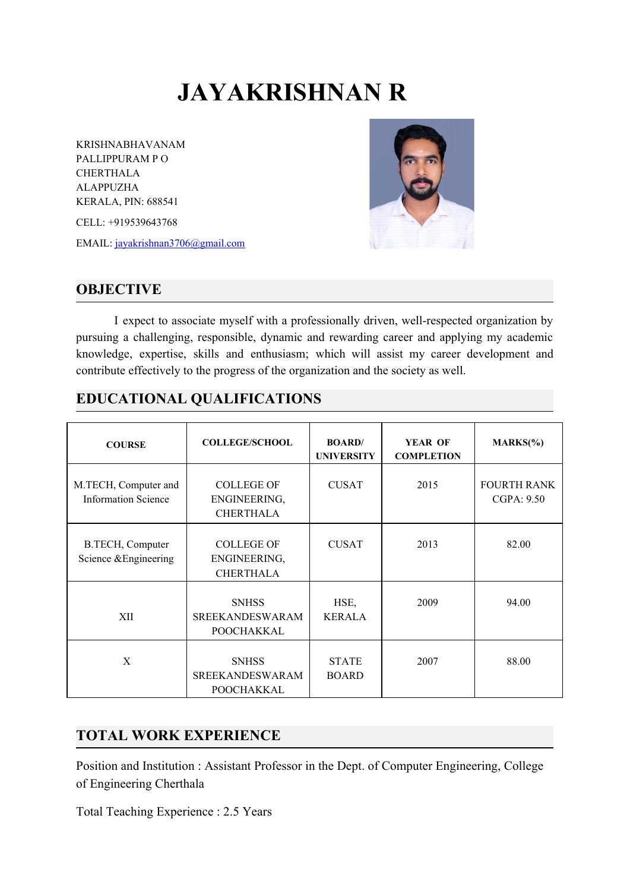# **JAYAKRISHNAN R**

KRISHNABHAVANAM PALLIPPURAM P O CHERTHALA ALAPPUZHA KERALA, PIN: 688541

CELL: +919539643768

EMAIL: [jayakrishnan3706@gmail.com](mailto:jayakrishnan3706@gmail.com)



#### **OBJECTIVE**

I expect to associate myself with a professionally driven, well-respected organization by pursuing a challenging, responsible, dynamic and rewarding career and applying my academic knowledge, expertise, skills and enthusiasm; which will assist my career development and contribute effectively to the progress of the organization and the society as well.

#### **EDUCATIONAL QUALIFICATIONS**

| <b>COURSE</b>                                      | <b>COLLEGE/SCHOOL</b>                                 | <b>BOARD/</b><br><b>UNIVERSITY</b> | <b>YEAR OF</b><br><b>COMPLETION</b> | $MARKS(\% )$                     |
|----------------------------------------------------|-------------------------------------------------------|------------------------------------|-------------------------------------|----------------------------------|
| M.TECH, Computer and<br><b>Information Science</b> | <b>COLLEGE OF</b><br>ENGINEERING,<br><b>CHERTHALA</b> | <b>CUSAT</b>                       | 2015                                | <b>FOURTH RANK</b><br>CGPA: 9.50 |
| B.TECH, Computer<br>Science & Engineering          | <b>COLLEGE OF</b><br>ENGINEERING,<br><b>CHERTHALA</b> | <b>CUSAT</b>                       | 2013                                | 82.00                            |
| XII                                                | <b>SNHSS</b><br><b>SREEKANDESWARAM</b><br>POOCHAKKAL  | HSE,<br><b>KERALA</b>              | 2009                                | 94.00                            |
| X                                                  | <b>SNHSS</b><br><b>SREEKANDESWARAM</b><br>POOCHAKKAL  | <b>STATE</b><br><b>BOARD</b>       | 2007                                | 88.00                            |

#### **TOTAL WORK EXPERIENCE**

Position and Institution : Assistant Professor in the Dept. of Computer Engineering, College of Engineering Cherthala

Total Teaching Experience : 2.5 Years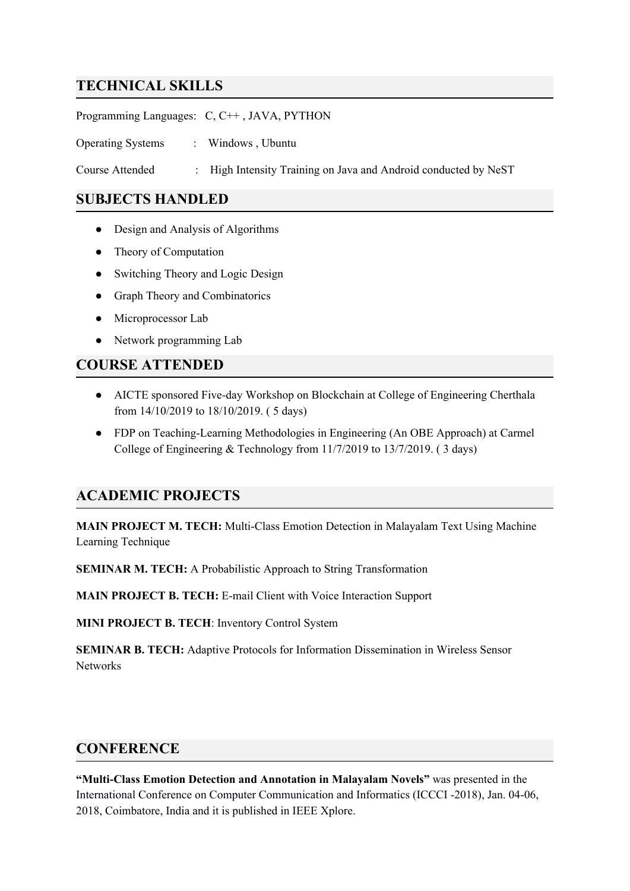## **TECHNICAL SKILLS**

Programming Languages: C, C++ , JAVA, PYTHON

Operating Systems : Windows, Ubuntu

Course Attended : High Intensity Training on Java and Android conducted by NeST

#### **SUBJECTS HANDLED**

- Design and Analysis of Algorithms
- Theory of Computation
- Switching Theory and Logic Design
- Graph Theory and Combinatorics
- Microprocessor Lab
- Network programming Lab

#### **COURSE ATTENDED**

- AICTE sponsored Five-day Workshop on Blockchain at College of Engineering Cherthala from 14/10/2019 to 18/10/2019. ( 5 days)
- FDP on Teaching-Learning Methodologies in Engineering (An OBE Approach) at Carmel College of Engineering & Technology from 11/7/2019 to 13/7/2019. ( 3 days)

#### **ACADEMIC PROJECTS**

**MAIN PROJECT M. TECH:** Multi-Class Emotion Detection in Malayalam Text Using Machine Learning Technique

**SEMINAR M. TECH:** A Probabilistic Approach to String Transformation

**MAIN PROJECT B. TECH:** E-mail Client with Voice Interaction Support

**MINI PROJECT B. TECH**: Inventory Control System

**SEMINAR B. TECH:** Adaptive Protocols for Information Dissemination in Wireless Sensor **Networks** 

#### **CONFERENCE**

**"Multi-Class Emotion Detection and Annotation in Malayalam Novels"** was presented in the International Conference on Computer Communication and Informatics (ICCCI -2018), Jan. 04-06, 2018, Coimbatore, India and it is published in IEEE Xplore.